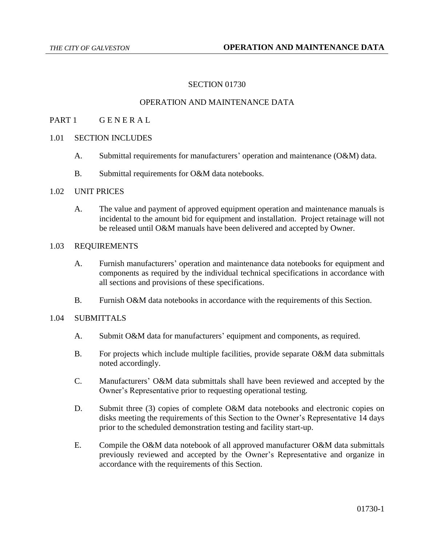## SECTION 01730

# OPERATION AND MAINTENANCE DATA

#### PART 1 GENERAL

## 1.01 SECTION INCLUDES

- A. Submittal requirements for manufacturers' operation and maintenance (O&M) data.
- B. Submittal requirements for O&M data notebooks.

## 1.02 UNIT PRICES

A. The value and payment of approved equipment operation and maintenance manuals is incidental to the amount bid for equipment and installation. Project retainage will not be released until O&M manuals have been delivered and accepted by Owner.

#### 1.03 REQUIREMENTS

- A. Furnish manufacturers' operation and maintenance data notebooks for equipment and components as required by the individual technical specifications in accordance with all sections and provisions of these specifications.
- B. Furnish O&M data notebooks in accordance with the requirements of this Section.

#### 1.04 SUBMITTALS

- A. Submit O&M data for manufacturers' equipment and components, as required.
- B. For projects which include multiple facilities, provide separate O&M data submittals noted accordingly.
- C. Manufacturers' O&M data submittals shall have been reviewed and accepted by the Owner's Representative prior to requesting operational testing.
- D. Submit three (3) copies of complete O&M data notebooks and electronic copies on disks meeting the requirements of this Section to the Owner's Representative 14 days prior to the scheduled demonstration testing and facility start-up.
- E. Compile the O&M data notebook of all approved manufacturer O&M data submittals previously reviewed and accepted by the Owner's Representative and organize in accordance with the requirements of this Section.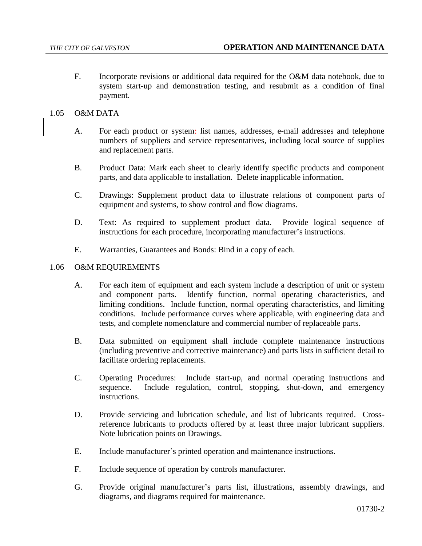F. Incorporate revisions or additional data required for the O&M data notebook, due to system start-up and demonstration testing, and resubmit as a condition of final payment.

# 1.05 O&M DATA

- A. For each product or system: list names, addresses, e-mail addresses and telephone numbers of suppliers and service representatives, including local source of supplies and replacement parts.
- B. Product Data: Mark each sheet to clearly identify specific products and component parts, and data applicable to installation. Delete inapplicable information.
- C. Drawings: Supplement product data to illustrate relations of component parts of equipment and systems, to show control and flow diagrams.
- D. Text: As required to supplement product data. Provide logical sequence of instructions for each procedure, incorporating manufacturer's instructions.
- E. Warranties, Guarantees and Bonds: Bind in a copy of each.

## 1.06 O&M REQUIREMENTS

- A. For each item of equipment and each system include a description of unit or system and component parts. Identify function, normal operating characteristics, and limiting conditions. Include function, normal operating characteristics, and limiting conditions. Include performance curves where applicable, with engineering data and tests, and complete nomenclature and commercial number of replaceable parts.
- B. Data submitted on equipment shall include complete maintenance instructions (including preventive and corrective maintenance) and parts lists in sufficient detail to facilitate ordering replacements.
- C. Operating Procedures: Include start-up, and normal operating instructions and sequence. Include regulation, control, stopping, shut-down, and emergency instructions.
- D. Provide servicing and lubrication schedule, and list of lubricants required. Crossreference lubricants to products offered by at least three major lubricant suppliers. Note lubrication points on Drawings.
- E. Include manufacturer's printed operation and maintenance instructions.
- F. Include sequence of operation by controls manufacturer.
- G. Provide original manufacturer's parts list, illustrations, assembly drawings, and diagrams, and diagrams required for maintenance.